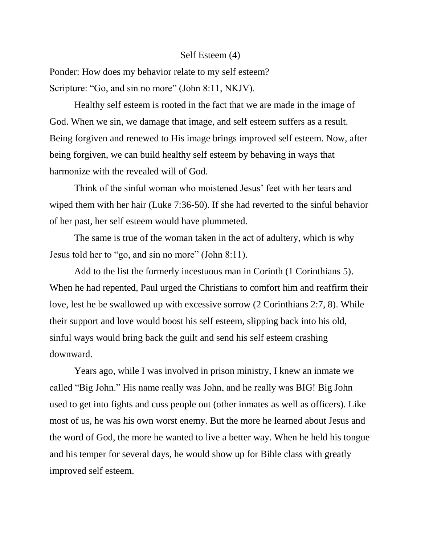## Self Esteem (4)

Ponder: How does my behavior relate to my self esteem? Scripture: "Go, and sin no more" (John 8:11, NKJV).

Healthy self esteem is rooted in the fact that we are made in the image of God. When we sin, we damage that image, and self esteem suffers as a result. Being forgiven and renewed to His image brings improved self esteem. Now, after being forgiven, we can build healthy self esteem by behaving in ways that harmonize with the revealed will of God.

Think of the sinful woman who moistened Jesus' feet with her tears and wiped them with her hair (Luke 7:36-50). If she had reverted to the sinful behavior of her past, her self esteem would have plummeted.

The same is true of the woman taken in the act of adultery, which is why Jesus told her to "go, and sin no more" (John 8:11).

Add to the list the formerly incestuous man in Corinth (1 Corinthians 5). When he had repented, Paul urged the Christians to comfort him and reaffirm their love, lest he be swallowed up with excessive sorrow (2 Corinthians 2:7, 8). While their support and love would boost his self esteem, slipping back into his old, sinful ways would bring back the guilt and send his self esteem crashing downward.

Years ago, while I was involved in prison ministry, I knew an inmate we called "Big John." His name really was John, and he really was BIG! Big John used to get into fights and cuss people out (other inmates as well as officers). Like most of us, he was his own worst enemy. But the more he learned about Jesus and the word of God, the more he wanted to live a better way. When he held his tongue and his temper for several days, he would show up for Bible class with greatly improved self esteem.